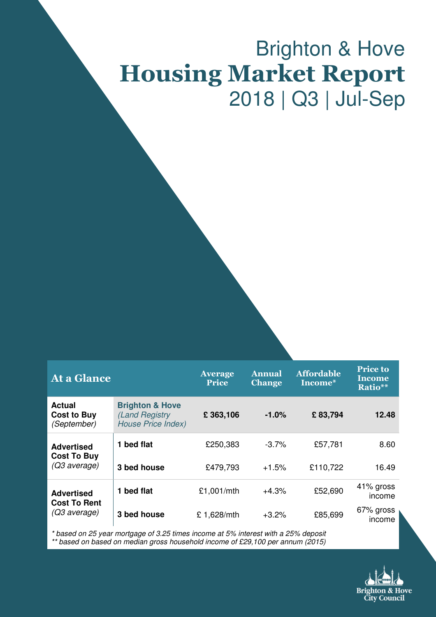# Brighton & Hove Housing Market Report 2018 | Q3 | Jul-Sep

| <b>At a Glance</b>                                 |                                                                            | <b>Average</b><br><b>Price</b> | <b>Annual</b><br><b>Change</b> | <b>Affordable</b><br>Income* | <b>Price to</b><br><b>Income</b><br>Ratio** |
|----------------------------------------------------|----------------------------------------------------------------------------|--------------------------------|--------------------------------|------------------------------|---------------------------------------------|
| <b>Actual</b><br><b>Cost to Buy</b><br>(September) | <b>Brighton &amp; Hove</b><br>(Land Registry)<br><b>House Price Index)</b> | £363,106                       | $-1.0\%$                       | £83,794                      | 12.48                                       |
| <b>Advertised</b><br><b>Cost To Buy</b>            | 1 bed flat                                                                 | £250,383                       | $-3.7\%$                       | £57,781                      | 8.60                                        |
| (Q3 average)                                       | 3 bed house                                                                | £479,793                       | $+1.5%$                        | £110,722                     | 16.49                                       |
| <b>Advertised</b>                                  | 1 bed flat                                                                 | £1,001/mth                     | $+4.3%$                        | £52,690                      | 41% gross<br>income                         |
| <b>Cost To Rent</b><br>(Q3 average)                | 3 bed house                                                                | £1,628/mth                     | $+3.2%$                        | £85,699                      | 67% gross<br>income                         |

\* based on 25 year mortgage of 3.25 times income at 5% interest with a 25% deposit

\*\* based on based on median gross household income of £29,100 per annum (2015)

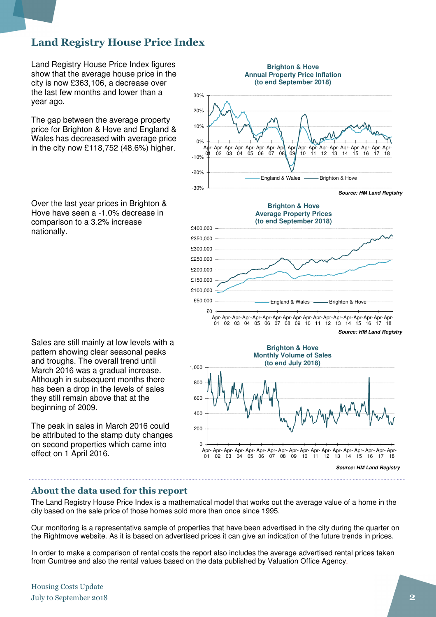### Land Registry House Price Index

Land Registry House Price Index figures show that the average house price in the city is now £363,106, a decrease over the last few months and lower than a year ago.

The gap between the average property price for Brighton & Hove and England & Wales has decreased with average price in the city now £118,752 (48.6%) higher.

Over the last year prices in Brighton & Hove have seen a -1.0% decrease in comparison to a 3.2% increase nationally.

Sales are still mainly at low levels with a pattern showing clear seasonal peaks and troughs. The overall trend until March 2016 was a gradual increase. Although in subsequent months there has been a drop in the levels of sales they still remain above that at the beginning of 2009.

The peak in sales in March 2016 could be attributed to the stamp duty changes on second properties which came into effect on 1 April 2016.





### About the data used for this report

The Land Registry House Price Index is a mathematical model that works out the average value of a home in the city based on the sale price of those homes sold more than once since 1995.

Our monitoring is a representative sample of properties that have been advertised in the city during the quarter on the Rightmove website. As it is based on advertised prices it can give an indication of the future trends in prices.

In order to make a comparison of rental costs the report also includes the average advertised rental prices taken from Gumtree and also the rental values based on the data published by Valuation Office Agency.

Housing Costs Update July to September 2018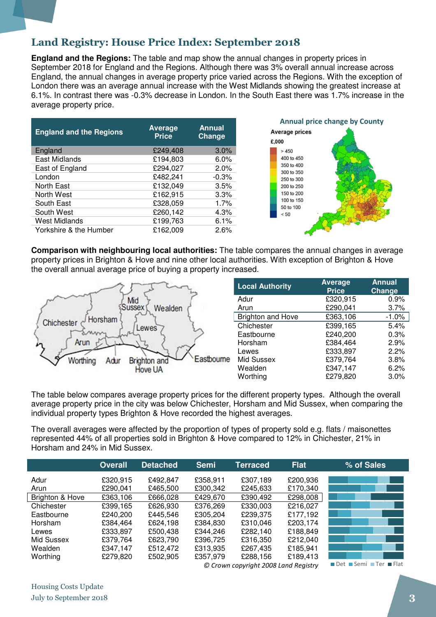### Land Registry: House Price Index: September 2018

**England and the Regions:** The table and map show the annual changes in property prices in September 2018 for England and the Regions. Although there was 3% overall annual increase across England, the annual changes in average property price varied across the Regions. With the exception of London there was an average annual increase with the West Midlands showing the greatest increase at 6.1%. In contrast there was -0.3% decrease in London. In the South East there was 1.7% increase in the average property price.

| <b>England and the Regions</b> | <b>Average</b><br><b>Price</b> | <b>Annual</b><br>Change |
|--------------------------------|--------------------------------|-------------------------|
| England                        | £249,408                       | 3.0%                    |
| East Midlands                  | £194,803                       | 6.0%                    |
| East of England                | £294,027                       | 2.0%                    |
| London                         | £482,241                       | $-0.3%$                 |
| North East                     | £132,049                       | 3.5%                    |
| North West                     | £162,915                       | 3.3%                    |
| South East                     | £328,059                       | 1.7%                    |
| South West                     | £260,142                       | 4.3%                    |
| <b>West Midlands</b>           | £199,763                       | 6.1%                    |
| Yorkshire & the Humber         | £162,009                       | 2.6%                    |



**Comparison with neighbouring local authorities:** The table compares the annual changes in average property prices in Brighton & Hove and nine other local authorities. With exception of Brighton & Hove the overall annual average price of buying a property increased.



| <b>Local Authority</b>   | <b>Average</b><br><b>Price</b> | <b>Annual</b><br>Change |
|--------------------------|--------------------------------|-------------------------|
| Adur                     | £320,915                       | 0.9%                    |
| Arun                     | £290,041                       | 3.7%                    |
| <b>Brighton and Hove</b> | £363,106                       | $-1.0%$                 |
| Chichester               | £399,165                       | 5.4%                    |
| Eastbourne               | £240,200                       | 0.3%                    |
| Horsham                  | £384,464                       | 2.9%                    |
| Lewes                    | £333,897                       | 2.2%                    |
| Mid Sussex               | £379,764                       | 3.8%                    |
| Wealden                  | £347,147                       | 6.2%                    |
| Worthing                 | £279,820                       | 3.0%                    |

The table below compares average property prices for the different property types. Although the overall average property price in the city was below Chichester, Horsham and Mid Sussex, when comparing the individual property types Brighton & Hove recorded the highest averages.

The overall averages were affected by the proportion of types of property sold e.g. flats / maisonettes represented 44% of all properties sold in Brighton & Hove compared to 12% in Chichester, 21% in Horsham and 24% in Mid Sussex.

|                 | <b>Overall</b> | <b>Detached</b> | <b>Semi</b> | <b>Terraced</b>                      | <b>Flat</b> | % of Sales            |
|-----------------|----------------|-----------------|-------------|--------------------------------------|-------------|-----------------------|
| Adur            | £320,915       | £492.847        | £358,911    | £307,189                             | £200,936    |                       |
| Arun            | £290,041       | £465,500        | £300,342    | £245,633                             | £170,340    |                       |
| Brighton & Hove | £363,106       | £666,028        | £429,670    | £390,492                             | £298,008    |                       |
| Chichester      | £399,165       | £626,930        | £376,269    | £330,003                             | £216,027    |                       |
| Eastbourne      | £240,200       | £445.546        | £305,204    | £239.375                             | £177.192    |                       |
| Horsham         | £384,464       | £624.198        | £384,830    | £310.046                             | £203,174    |                       |
| Lewes           | £333,897       | £500,438        | £344,246    | £282,140                             | £188,849    |                       |
| Mid Sussex      | £379,764       | £623,790        | £396,725    | £316,350                             | £212.040    |                       |
| Wealden         | £347,147       | £512.472        | £313,935    | £267,435                             | £185,941    |                       |
| Worthing        | £279,820       | £502,905        | £357,979    | £288,156                             | £189,413    |                       |
|                 |                |                 |             | @ Crown conveight 2008 Land Bogistav |             | ∎Det ■Semi ■Ter ■Flat |

 $\mathfrak\varnothing$  Crown copyright 2008 Land Registry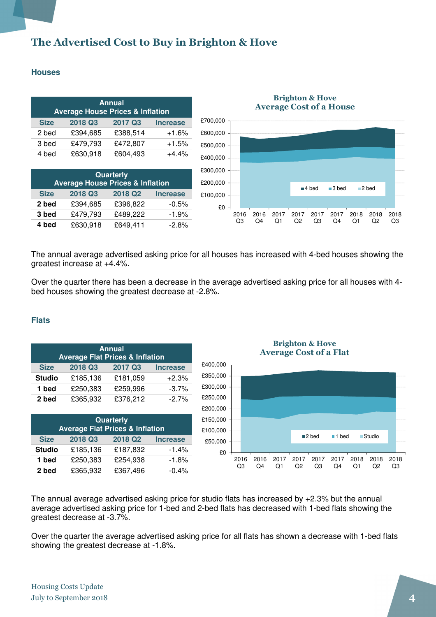### The Advertised Cost to Buy in Brighton & Hove

### **Houses**

| <b>Annual</b><br><b>Average House Prices &amp; Inflation</b> |          |          |                 |  |  |
|--------------------------------------------------------------|----------|----------|-----------------|--|--|
| <b>Size</b>                                                  | 2018 Q3  | 2017 Q3  | <b>Increase</b> |  |  |
| 2 bed                                                        | £394,685 | £388,514 | $+1.6%$         |  |  |
| 3 bed                                                        | £479,793 | £472,807 | $+1.5%$         |  |  |
| 4 bed                                                        | £630,918 | £604,493 | +4.4%           |  |  |

| Quarterly<br><b>Average House Prices &amp; Inflation</b> |          |          |                 |  |  |
|----------------------------------------------------------|----------|----------|-----------------|--|--|
| <b>Size</b>                                              | 2018 Q3  | 2018 Q2  | <b>Increase</b> |  |  |
| 2 bed                                                    | £394,685 | £396,822 | $-0.5%$         |  |  |
| 3 bed                                                    | £479,793 | £489,222 | $-1.9%$         |  |  |
| 4 bed                                                    | £630,918 | £649,411 | $-2.8%$         |  |  |



The annual average advertised asking price for all houses has increased with 4-bed houses showing the greatest increase at +4.4%.

Over the quarter there has been a decrease in the average advertised asking price for all houses with 4 bed houses showing the greatest decrease at -2.8%.

#### **Flats**

| <b>Annual</b><br><b>Average Flat Prices &amp; Inflation</b> |          |                     |                 |  |
|-------------------------------------------------------------|----------|---------------------|-----------------|--|
| <b>Size</b>                                                 | 2018 Q3  | 2017 Q3             | <b>Increase</b> |  |
| <b>Studio</b>                                               | £185,136 | £181,059            | $+2.3%$         |  |
| 1 bed                                                       | £250,383 | £259,996            | $-3.7%$         |  |
| 2 bed                                                       | £365,932 | £376,212            | $-2.7%$         |  |
| Quarterly<br><b>Average Flat Prices &amp; Inflation</b>     |          |                     |                 |  |
| <b>Size</b>                                                 | 2018 Q3  | 2018 Q <sub>2</sub> | <b>Increase</b> |  |

**Studio** £185,136 £187,832 -1.4% **1 bed** £250,383 £254,938 -1.8% **2 bed** £365,932 £367,496 -0.4%

Brighton & Hove Average Cost of a Flat



The annual average advertised asking price for studio flats has increased by +2.3% but the annual average advertised asking price for 1-bed and 2-bed flats has decreased with 1-bed flats showing the greatest decrease at -3.7%.

Over the quarter the average advertised asking price for all flats has shown a decrease with 1-bed flats showing the greatest decrease at -1.8%.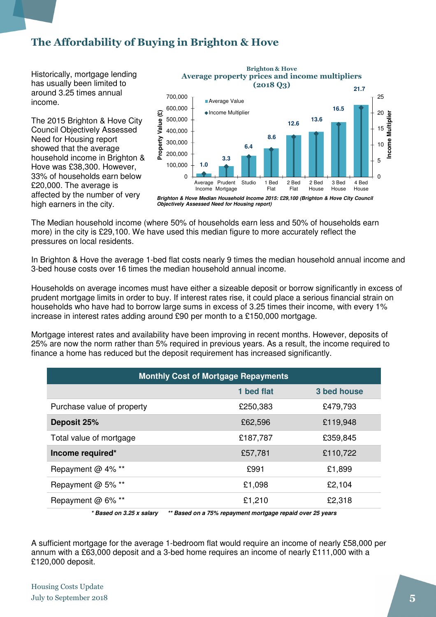### The Affordability of Buying in Brighton & Hove

Historically, mortgage lending has usually been limited to around 3.25 times annual income.

The 2015 Brighton & Hove City Council Objectively Assessed Need for Housing report showed that the average household income in Brighton & Hove was £38,300. However, 33% of households earn below £20,000. The average is affected by the number of very high earners in the city.



Brighton & Hove Average property prices and income multipliers  $(201803)$ 

**Objectively Assessed Need for Housing report)**

The Median household income (where 50% of households earn less and 50% of households earn more) in the city is £29,100. We have used this median figure to more accurately reflect the pressures on local residents.

In Brighton & Hove the average 1-bed flat costs nearly 9 times the median household annual income and 3-bed house costs over 16 times the median household annual income.

Households on average incomes must have either a sizeable deposit or borrow significantly in excess of prudent mortgage limits in order to buy. If interest rates rise, it could place a serious financial strain on households who have had to borrow large sums in excess of 3.25 times their income, with every 1% increase in interest rates adding around £90 per month to a £150,000 mortgage.

Mortgage interest rates and availability have been improving in recent months. However, deposits of 25% are now the norm rather than 5% required in previous years. As a result, the income required to finance a home has reduced but the deposit requirement has increased significantly.

| <b>Monthly Cost of Mortgage Repayments</b>                                               |            |             |  |  |
|------------------------------------------------------------------------------------------|------------|-------------|--|--|
|                                                                                          | 1 bed flat | 3 bed house |  |  |
| Purchase value of property                                                               | £250,383   | £479,793    |  |  |
| Deposit 25%                                                                              | £62,596    | £119,948    |  |  |
| Total value of mortgage                                                                  | £187,787   | £359,845    |  |  |
| Income required*                                                                         | £57,781    | £110,722    |  |  |
| Repayment @ 4% **                                                                        | £991       | £1,899      |  |  |
| Repayment @ 5% **                                                                        | £1,098     | £2,104      |  |  |
| Repayment @ 6% **                                                                        | £1,210     | £2,318      |  |  |
| $*$ Decad an 0.05 y colomi<br>** Desad an a 750/ vanaument maytrage vanaid avay 05 vaava |            |             |  |  |

**\* Based on 3.25 x salary \*\* Based on a 75% repayment mortgage repaid over 25 years** 

A sufficient mortgage for the average 1-bedroom flat would require an income of nearly £58,000 per annum with a £63,000 deposit and a 3-bed home requires an income of nearly £111,000 with a £120,000 deposit.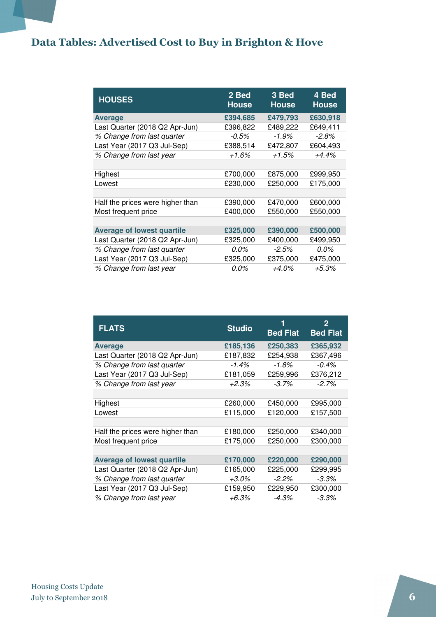### Data Tables: Advertised Cost to Buy in Brighton & Hove

| <b>HOUSES</b>                     | 2 Bed<br><b>House</b> | 3 Bed<br><b>House</b> | 4 Bed<br><b>House</b> |
|-----------------------------------|-----------------------|-----------------------|-----------------------|
| <b>Average</b>                    | £394,685              | £479,793              | £630,918              |
| Last Quarter (2018 Q2 Apr-Jun)    | £396,822              | £489,222              | £649,411              |
| % Change from last quarter        | $-0.5%$               | $-1.9\%$              | $-2.8\%$              |
| Last Year (2017 Q3 Jul-Sep)       | £388,514              | £472,807              | £604,493              |
| % Change from last year           | $+1.6%$               | $+1.5%$               | $+4.4%$               |
|                                   |                       |                       |                       |
| Highest                           | £700,000              | £875,000              | £999,950              |
| Lowest                            | £230,000              | £250,000              | £175,000              |
|                                   |                       |                       |                       |
| Half the prices were higher than  | £390,000              | £470,000              | £600,000              |
| Most frequent price               | £400,000              | £550,000              | £550,000              |
|                                   |                       |                       |                       |
| <b>Average of lowest quartile</b> | £325,000              | £390,000              | £500,000              |
| Last Quarter (2018 Q2 Apr-Jun)    | £325,000              | £400,000              | £499,950              |
| % Change from last quarter        | 0.0%                  | $-2.5\%$              | $0.0\%$               |
| Last Year (2017 Q3 Jul-Sep)       | £325,000              | £375,000              | £475,000              |
| % Change from last year           | 0.0%                  | $+4.0\%$              | $+5.3%$               |

| <b>FLATS</b>                      | <b>Studio</b> | 1<br><b>Bed Flat</b> | 2<br><b>Bed Flat</b> |
|-----------------------------------|---------------|----------------------|----------------------|
| <b>Average</b>                    | £185,136      | £250,383             | £365,932             |
| Last Quarter (2018 Q2 Apr-Jun)    | £187,832      | £254,938             | £367,496             |
| % Change from last quarter        | $-1.4%$       | $-1.8%$              | $-0.4\%$             |
| Last Year (2017 Q3 Jul-Sep)       | £181,059      | £259,996             | £376,212             |
| % Change from last year           | +2.3%         | $-3.7\%$             | $-2.7\%$             |
|                                   |               |                      |                      |
| Highest                           | £260,000      | £450,000             | £995,000             |
| Lowest                            | £115,000      | £120,000             | £157,500             |
|                                   |               |                      |                      |
| Half the prices were higher than  | £180,000      | £250,000             | £340,000             |
| Most frequent price               | £175,000      | £250,000             | £300,000             |
|                                   |               |                      |                      |
| <b>Average of lowest quartile</b> | £170,000      | £220,000             | £290,000             |
| Last Quarter (2018 Q2 Apr-Jun)    | £165,000      | £225,000             | £299,995             |
| % Change from last quarter        | $+3.0\%$      | $-2.2\%$             | $-3.3\%$             |
| Last Year (2017 Q3 Jul-Sep)       | £159,950      | £229,950             | £300,000             |
| % Change from last year           | +6.3%         | $-4.3%$              | $-3.3\%$             |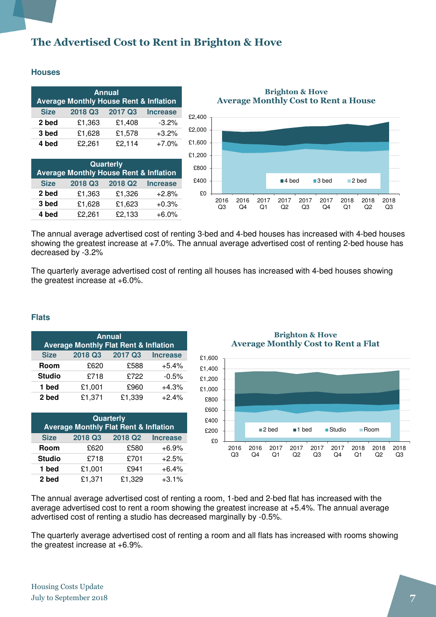### The Advertised Cost to Rent in Brighton & Hove

#### **Houses**

| <b>Annual</b><br><b>Average Monthly House Rent &amp; Inflation</b> |         |         |                 |  |  |
|--------------------------------------------------------------------|---------|---------|-----------------|--|--|
| <b>Size</b>                                                        | 2018 Q3 | 2017 Q3 | <b>Increase</b> |  |  |
| 2 bed                                                              | £1,363  | £1,408  | $-3.2%$         |  |  |
| 3 bed                                                              | £1,628  | £1,578  | $+3.2%$         |  |  |
| 4 bed                                                              | £2,261  | £2,114  | $+7.0%$         |  |  |

| Quarterly<br><b>Average Monthly House Rent &amp; Inflation</b> |         |                     |                 |  |  |  |
|----------------------------------------------------------------|---------|---------------------|-----------------|--|--|--|
| <b>Size</b>                                                    | 2018 Q3 | 2018 Q <sub>2</sub> | <b>Increase</b> |  |  |  |
| 2 bed                                                          | £1,363  | £1,326              | $+2.8%$         |  |  |  |
| 3 bed                                                          | £1,628  | £1,623              | $+0.3%$         |  |  |  |
| 4 bed                                                          | £2,261  | £2,133              | $+6.0%$         |  |  |  |

### Brighton & Hove Average Monthly Cost to Rent a House



The annual average advertised cost of renting 3-bed and 4-bed houses has increased with 4-bed houses showing the greatest increase at +7.0%. The annual average advertised cost of renting 2-bed house has decreased by -3.2%

The quarterly average advertised cost of renting all houses has increased with 4-bed houses showing the greatest increase at +6.0%.

#### **Flats**

| <b>Annual</b><br><b>Average Monthly Flat Rent &amp; Inflation</b> |         |         |                 |  |  |
|-------------------------------------------------------------------|---------|---------|-----------------|--|--|
| <b>Size</b>                                                       | 2018 Q3 | 2017 Q3 | <b>Increase</b> |  |  |
| Room                                                              | £620    | £588    | $+5.4%$         |  |  |
| <b>Studio</b>                                                     | £718    | £722    | $-0.5%$         |  |  |
| 1 bed                                                             | £1,001  | £960    | $+4.3%$         |  |  |
| 2 bed                                                             | £1,371  | £1,339  | $+2.4%$         |  |  |

| Quarterly<br><b>Average Monthly Flat Rent &amp; Inflation</b> |         |                     |                 |  |  |
|---------------------------------------------------------------|---------|---------------------|-----------------|--|--|
| <b>Size</b>                                                   | 2018 Q3 | 2018 Q <sub>2</sub> | <b>Increase</b> |  |  |
| Room                                                          | £620    | £580                | $+6.9%$         |  |  |
| <b>Studio</b>                                                 | £718    | £701                | $+2.5%$         |  |  |
| 1 bed                                                         | £1,001  | £941                | $+6.4%$         |  |  |
| 2 bed                                                         | £1,371  | £1,329              | $+3.1%$         |  |  |

#### Brighton & Hove Average Monthly Cost to Rent a Flat



The annual average advertised cost of renting a room, 1-bed and 2-bed flat has increased with the average advertised cost to rent a room showing the greatest increase at +5.4%. The annual average advertised cost of renting a studio has decreased marginally by -0.5%.

The quarterly average advertised cost of renting a room and all flats has increased with rooms showing the greatest increase at +6.9%.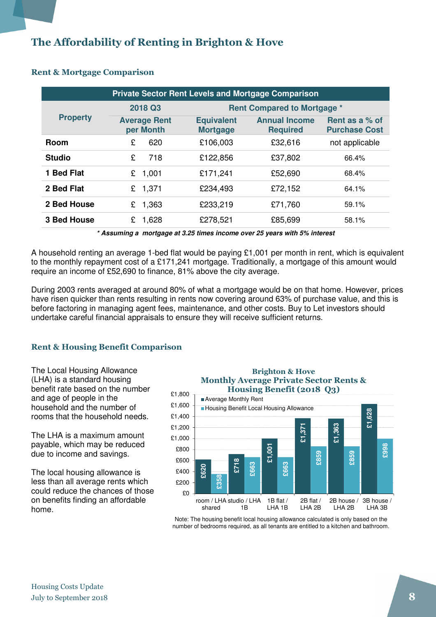### The Affordability of Renting in Brighton & Hove

| <b>Private Sector Rent Levels and Mortgage Comparison</b> |                                  |                                      |                                         |                                        |  |
|-----------------------------------------------------------|----------------------------------|--------------------------------------|-----------------------------------------|----------------------------------------|--|
|                                                           | 2018 Q3                          |                                      | <b>Rent Compared to Mortgage *</b>      |                                        |  |
| <b>Property</b>                                           | <b>Average Rent</b><br>per Month | <b>Equivalent</b><br><b>Mortgage</b> | <b>Annual Income</b><br><b>Required</b> | Rent as a % of<br><b>Purchase Cost</b> |  |
| <b>Room</b>                                               | 620<br>£                         | £106,003                             | £32,616                                 | not applicable                         |  |
| <b>Studio</b>                                             | 718<br>£                         | £122,856                             | £37,802                                 | 66.4%                                  |  |
| 1 Bed Flat                                                | 1,001<br>£                       | £171,241                             | £52,690                                 | 68.4%                                  |  |
| 2 Bed Flat                                                | £<br>1,371                       | £234,493                             | £72,152                                 | 64.1%                                  |  |
| 2 Bed House                                               | 1,363<br>£                       | £233,219                             | £71,760                                 | 59.1%                                  |  |
| <b>3 Bed House</b>                                        | 1,628<br>£                       | £278,521                             | £85,699                                 | 58.1%                                  |  |

### Rent & Mortgage Comparison

**\* Assuming a mortgage at 3.25 times income over 25 years with 5% interest** 

A household renting an average 1-bed flat would be paying £1,001 per month in rent, which is equivalent to the monthly repayment cost of a £171,241 mortgage. Traditionally, a mortgage of this amount would require an income of £52,690 to finance, 81% above the city average.

During 2003 rents averaged at around 80% of what a mortgage would be on that home. However, prices have risen quicker than rents resulting in rents now covering around 63% of purchase value, and this is before factoring in managing agent fees, maintenance, and other costs. Buy to Let investors should undertake careful financial appraisals to ensure they will receive sufficient returns.

### Rent & Housing Benefit Comparison

The Local Housing Allowance (LHA) is a standard housing benefit rate based on the number and age of people in the household and the number of rooms that the household needs.

The LHA is a maximum amount payable, which may be reduced due to income and savings.

The local housing allowance is less than all average rents which could reduce the chances of those on benefits finding an affordable home.

### Brighton & Hove Monthly Average Private Sector Rents & Housing Benefit (2018 Q3) Average Monthly Rent



Note: The housing benefit local housing allowance calculated is only based on the number of bedrooms required, as all tenants are entitled to a kitchen and bathroom.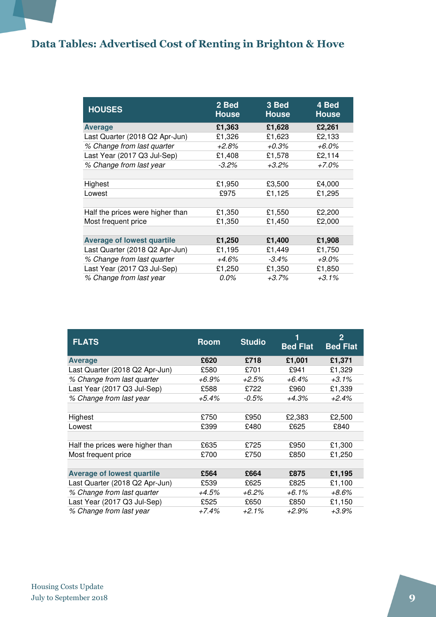### Data Tables: Advertised Cost of Renting in Brighton & Hove

| <b>HOUSES</b>                     | 2 Bed<br><b>House</b> | 3 Bed<br><b>House</b> | 4 Bed<br><b>House</b> |
|-----------------------------------|-----------------------|-----------------------|-----------------------|
| <b>Average</b>                    | £1,363                | £1,628                | £2,261                |
| Last Quarter (2018 Q2 Apr-Jun)    | £1,326                | £1,623                | £2,133                |
| % Change from last quarter        | +2.8%                 | $+0.3%$               | +6.0%                 |
| Last Year (2017 Q3 Jul-Sep)       | £1,408                | £1,578                | £2,114                |
| % Change from last year           | $-3.2%$               | +3.2%                 | +7.0%                 |
|                                   |                       |                       |                       |
| Highest                           | £1,950                | £3,500                | £4,000                |
| Lowest                            | £975                  | £1,125                | £1,295                |
|                                   |                       |                       |                       |
| Half the prices were higher than  | £1,350                | £1,550                | £2,200                |
| Most frequent price               | £1,350                | £1,450                | £2,000                |
|                                   |                       |                       |                       |
| <b>Average of lowest quartile</b> | £1,250                | £1,400                | £1,908                |
| Last Quarter (2018 Q2 Apr-Jun)    | £1,195                | £1,449                | £1,750                |
| % Change from last quarter        | +4.6%                 | $-3.4\%$              | +9.0%                 |
| Last Year (2017 Q3 Jul-Sep)       | £1,250                | £1,350                | £1,850                |
| % Change from last year           | 0.0%                  | +3.7%                 | $+3.1\%$              |

| <b>FLATS</b>                      | <b>Room</b> | <b>Studio</b> | <b>Bed Flat</b> | 2<br><b>Bed Flat</b> |
|-----------------------------------|-------------|---------------|-----------------|----------------------|
| <b>Average</b>                    | £620        | £718          | £1,001          | £1,371               |
| Last Quarter (2018 Q2 Apr-Jun)    | £580        | £701          | £941            | £1,329               |
| % Change from last quarter        | +6.9%       | +2.5%         | $+6.4\%$        | $+3.1\%$             |
| Last Year (2017 Q3 Jul-Sep)       | £588        | £722          | £960            | £1,339               |
| % Change from last year           | $+5.4\%$    | -0.5%         | +4.3%           | $+2.4%$              |
|                                   |             |               |                 |                      |
| Highest                           | £750        | £950          | £2,383          | £2,500               |
| Lowest                            | £399        | £480          | £625            | £840                 |
|                                   |             |               |                 |                      |
| Half the prices were higher than  | £635        | £725          | £950            | £1,300               |
| Most frequent price               | £700        | £750          | £850            | £1,250               |
|                                   |             |               |                 |                      |
| <b>Average of lowest quartile</b> | £564        | £664          | £875            | £1,195               |
| Last Quarter (2018 Q2 Apr-Jun)    | £539        | £625          | £825            | £1,100               |
| % Change from last quarter        | +4.5%       | +6.2%         | +6.1%           | +8.6%                |
| Last Year (2017 Q3 Jul-Sep)       | £525        | £650          | £850            | £1,150               |
| % Change from last year           | $+7.4%$     | $+2.1\%$      | $+2.9\%$        | $+3.9%$              |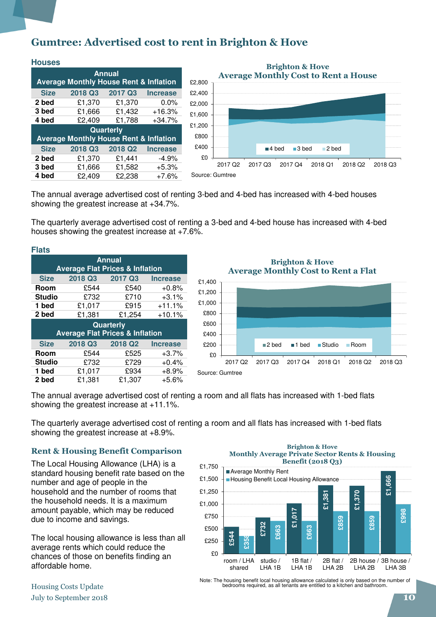### Gumtree: Advertised cost to rent in Brighton & Hove

| <b>Houses</b>                                     |                                                   |                     |                 |  |  |  |  |
|---------------------------------------------------|---------------------------------------------------|---------------------|-----------------|--|--|--|--|
| <b>Annual</b>                                     |                                                   |                     |                 |  |  |  |  |
| <b>Average Monthly House Rent &amp; Inflation</b> |                                                   |                     |                 |  |  |  |  |
| <b>Size</b>                                       | 2018 Q3                                           | 2017 Q3             | <b>Increase</b> |  |  |  |  |
| 2 bed                                             | £1,370                                            | £1,370              | $0.0\%$         |  |  |  |  |
| 3 bed                                             | £1,666                                            | £1,432              | $+16.3%$        |  |  |  |  |
| 4 bed                                             | £2.409                                            | £1.788              | $+34.7%$        |  |  |  |  |
|                                                   |                                                   | <b>Quarterly</b>    |                 |  |  |  |  |
|                                                   | <b>Average Monthly House Rent &amp; Inflation</b> |                     |                 |  |  |  |  |
| <b>Size</b>                                       | 2018 Q3                                           | 2018 Q <sub>2</sub> | <b>Increase</b> |  |  |  |  |
| 2 bed                                             | £1,370                                            | £1.441              | $-4.9%$         |  |  |  |  |
| 3 bed                                             | £1,666                                            | £1,582              | $+5.3%$         |  |  |  |  |
| 4 bed                                             | £2.409                                            | £2.238              | $+7.6%$         |  |  |  |  |



The annual average advertised cost of renting 3-bed and 4-bed has increased with 4-bed houses showing the greatest increase at +34.7%.

The quarterly average advertised cost of renting a 3-bed and 4-bed house has increased with 4-bed houses showing the greatest increase at +7.6%.

| <b>Flats</b>                                                |                                            |                     |                 |  |  |  |
|-------------------------------------------------------------|--------------------------------------------|---------------------|-----------------|--|--|--|
| <b>Annual</b><br><b>Average Flat Prices &amp; Inflation</b> |                                            |                     |                 |  |  |  |
|                                                             |                                            |                     |                 |  |  |  |
| <b>Size</b>                                                 | 2018 Q3                                    | 2017 Q3             | <b>Increase</b> |  |  |  |
| Room                                                        | £544                                       | £540                | $+0.8%$         |  |  |  |
| <b>Studio</b>                                               | £732                                       | £710                | $+3.1%$         |  |  |  |
| 1 bed                                                       | £1,017                                     | £915                | $+11.1%$        |  |  |  |
| 2 bed                                                       | £1,381                                     | £1,254              | $+10.1%$        |  |  |  |
|                                                             | Quarterly                                  |                     |                 |  |  |  |
|                                                             | <b>Average Flat Prices &amp; Inflation</b> |                     |                 |  |  |  |
| <b>Size</b>                                                 | 2018 Q3                                    | 2018 Q <sub>2</sub> | <b>Increase</b> |  |  |  |
| Room                                                        | £544                                       | £525                | $+3.7%$         |  |  |  |
| <b>Studio</b>                                               | £732                                       | £729                | $+0.4%$         |  |  |  |
| 1 bed                                                       | £1,017                                     | £934                | $+8.9%$         |  |  |  |
| 2 bed                                                       | £1,381                                     | £1,307              | +5.6%           |  |  |  |

£0 £200 £400 £600 £800 £1,000 £1,200 £1,400 2017 Q2 2017 Q3 2017 Q4 2018 Q1 2018 Q2 2018 Q3 Brighton & Hove Average Monthly Cost to Rent a Flat ■2 bed ■1 bed ■Studio ■ Room Source: Gumtree

The annual average advertised cost of renting a room and all flats has increased with 1-bed flats showing the greatest increase at +11.1%.

The quarterly average advertised cost of renting a room and all flats has increased with 1-bed flats showing the greatest increase at +8.9%.

#### Rent & Housing Benefit Comparison

The Local Housing Allowance (LHA) is a standard housing benefit rate based on the number and age of people in the household and the number of rooms that the household needs. It is a maximum amount payable, which may be reduced due to income and savings.

The local housing allowance is less than all average rents which could reduce the chances of those on benefits finding an affordable home.

#### Brighton & Hove Monthly Average Private Sector Rents & Housing Benefit (2018 Q3)



Note: The housing benefit local housing allowance calculated is only based on the number of bedrooms required, as all tenants are entitled to a kitchen and bathroom.

### Housing Costs Update July to September 2018 **10**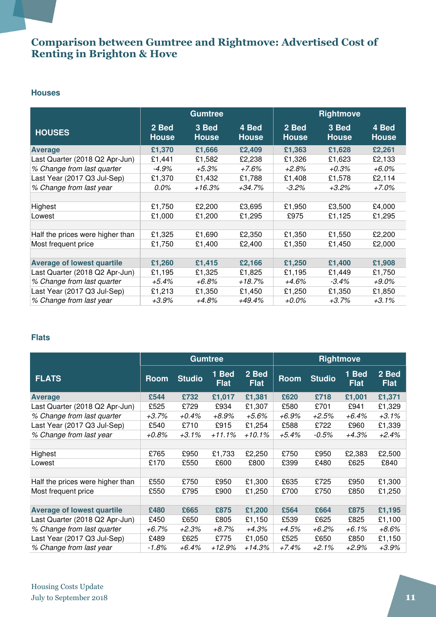### Comparison between Gumtree and Rightmove: Advertised Cost of Renting in Brighton & Hove

#### **Houses**

|                                   | <b>Gumtree</b>        |                       | <b>Rightmove</b>      |                       |                       |                       |
|-----------------------------------|-----------------------|-----------------------|-----------------------|-----------------------|-----------------------|-----------------------|
| <b>HOUSES</b>                     | 2 Bed<br><b>House</b> | 3 Bed<br><b>House</b> | 4 Bed<br><b>House</b> | 2 Bed<br><b>House</b> | 3 Bed<br><b>House</b> | 4 Bed<br><b>House</b> |
| <b>Average</b>                    | £1,370                | £1,666                | £2,409                | £1,363                | £1,628                | £2,261                |
| Last Quarter (2018 Q2 Apr-Jun)    | £1,441                | £1,582                | £2,238                | £1,326                | £1,623                | £2,133                |
| % Change from last quarter        | $-4.9%$               | $+5.3%$               | +7.6%                 | +2.8%                 | $+0.3\%$              | $+6.0\%$              |
| Last Year (2017 Q3 Jul-Sep)       | £1,370                | £1,432                | £1,788                | £1,408                | £1,578                | £2,114                |
| % Change from last year           | 0.0%                  | +16.3%                | +34.7%                | $-3.2\%$              | $+3.2\%$              | +7.0%                 |
|                                   |                       |                       |                       |                       |                       |                       |
| Highest                           | £1,750                | £2,200                | £3,695                | £1,950                | £3,500                | £4,000                |
| Lowest                            | £1,000                | £1,200                | £1,295                | £975                  | £1,125                | £1,295                |
|                                   |                       |                       |                       |                       |                       |                       |
| Half the prices were higher than  | £1,325                | £1,690                | £2,350                | £1,350                | £1,550                | £2,200                |
| Most frequent price               | £1,750                | £1,400                | £2,400                | £1,350                | £1,450                | £2,000                |
|                                   |                       |                       |                       |                       |                       |                       |
| <b>Average of lowest quartile</b> | £1,260                | £1,415                | £2,166                | £1,250                | £1,400                | £1,908                |
| Last Quarter (2018 Q2 Apr-Jun)    | £1,195                | £1,325                | £1,825                | £1,195                | £1,449                | £1,750                |
| % Change from last quarter        | +5.4%                 | +6.8%                 | $+18.7%$              | +4.6%                 | $-3.4\%$              | $+9.0\%$              |
| Last Year (2017 Q3 Jul-Sep)       | £1,213                | £1,350                | £1,450                | £1,250                | £1,350                | £1,850                |
| % Change from last year           | $+3.9\%$              | +4.8%                 | +49.4%                | +0.0%                 | $+3.7%$               | $+3.1\%$              |

### **Flats**

|                                   | <b>Gumtree</b> |               |                      | <b>Rightmove</b>     |             |               |                      |                      |
|-----------------------------------|----------------|---------------|----------------------|----------------------|-------------|---------------|----------------------|----------------------|
| <b>FLATS</b>                      | <b>Room</b>    | <b>Studio</b> | 1 Bed<br><b>Flat</b> | 2 Bed<br><b>Flat</b> | <b>Room</b> | <b>Studio</b> | 1 Bed<br><b>Flat</b> | 2 Bed<br><b>Flat</b> |
| <b>Average</b>                    | £544           | £732          | £1,017               | £1,381               | £620        | £718          | £1,001               | £1,371               |
| Last Quarter (2018 Q2 Apr-Jun)    | £525           | £729          | £934                 | £1,307               | £580        | £701          | £941                 | £1,329               |
| % Change from last quarter        | $+3.7%$        | +0.4%         | +8.9%                | +5.6%                | +6.9%       | +2.5%         | +6.4%                | $+3.1%$              |
| Last Year (2017 Q3 Jul-Sep)       | £540           | £710          | £915                 | £1,254               | £588        | £722          | £960                 | £1,339               |
| % Change from last year           | +0.8%          | $+3.1\%$      | +11.1%               | $+10.1\%$            | +5.4%       | $-0.5\%$      | +4.3%                | $+2.4%$              |
|                                   |                |               |                      |                      |             |               |                      |                      |
| Highest                           | £765           | £950          | £1,733               | £2,250               | £750        | £950          | £2,383               | £2,500               |
| Lowest                            | £170           | £550          | £600                 | £800                 | £399        | £480          | £625                 | £840                 |
|                                   |                |               |                      |                      |             |               |                      |                      |
| Half the prices were higher than  | £550           | £750          | £950                 | £1,300               | £635        | £725          | £950                 | £1,300               |
| Most frequent price               | £550           | £795          | £900                 | £1,250               | £700        | £750          | £850                 | £1,250               |
|                                   |                |               |                      |                      |             |               |                      |                      |
| <b>Average of lowest quartile</b> | £480           | £665          | £875                 | £1,200               | £564        | £664          | £875                 | £1,195               |
| Last Quarter (2018 Q2 Apr-Jun)    | £450           | £650          | £805                 | £1,150               | £539        | £625          | £825                 | £1,100               |
| % Change from last quarter        | $+6.7%$        | +2.3%         | $+8.7%$              | +4.3%                | +4.5%       | +6.2%         | +6.1%                | $+8.6%$              |
| Last Year (2017 Q3 Jul-Sep)       | £489           | £625          | £775                 | £1,050               | £525        | £650          | £850                 | £1,150               |
| % Change from last year           | -1.8%          | +6.4%         | +12.9%               | +14.3%               | +7.4%       | +2.1%         | +2.9%                | $+3.9%$              |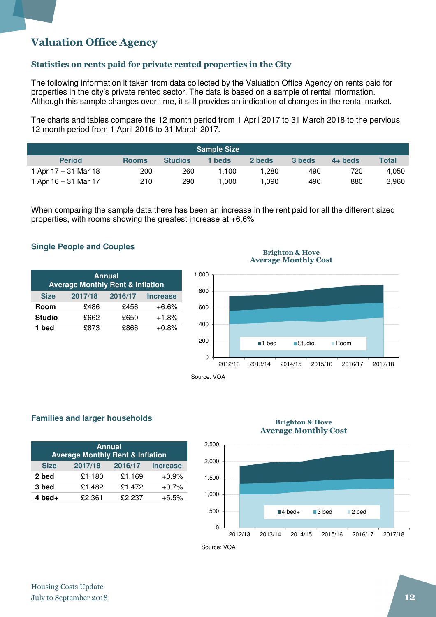### Valuation Office Agency

### Statistics on rents paid for private rented properties in the City

The following information it taken from data collected by the Valuation Office Agency on rents paid for properties in the city's private rented sector. The data is based on a sample of rental information. Although this sample changes over time, it still provides an indication of changes in the rental market.

The charts and tables compare the 12 month period from 1 April 2017 to 31 March 2018 to the pervious 12 month period from 1 April 2016 to 31 March 2017.

|                        |              |                | <b>Sample Size</b> |        |        |           |              |
|------------------------|--------------|----------------|--------------------|--------|--------|-----------|--------------|
| <b>Period</b>          | <b>Rooms</b> | <b>Studios</b> | 1 beds             | 2 beds | 3 beds | $4+$ beds | <b>Total</b> |
| 1 Apr $17 - 31$ Mar 18 | 200          | 260            | l.100              | .280   | 490    | 720       | 4.050        |
| 1 Apr $16 - 31$ Mar 17 | 210          | 290            | 0.000              | .090   | 490    | 880       | 3,960        |

When comparing the sample data there has been an increase in the rent paid for all the different sized properties, with rooms showing the greatest increase at +6.6%

#### **Single People and Couples**

| <b>Annual</b><br><b>Average Monthly Rent &amp; Inflation</b> |         |         |                 |  |  |
|--------------------------------------------------------------|---------|---------|-----------------|--|--|
| <b>Size</b>                                                  | 2017/18 | 2016/17 | <b>Increase</b> |  |  |
| Room                                                         | £486    | £456    | $+6.6%$         |  |  |
| <b>Studio</b>                                                | £662    | £650    | $+1.8%$         |  |  |
| 1 bed                                                        | £873    | £866    | $+0.8%$         |  |  |

#### Brighton & Hove Average Monthly Cost



#### **Families and larger households**

| <b>Annual</b><br><b>Average Monthly Rent &amp; Inflation</b> |         |         |                 |  |  |  |
|--------------------------------------------------------------|---------|---------|-----------------|--|--|--|
| <b>Size</b>                                                  | 2017/18 | 2016/17 | <b>Increase</b> |  |  |  |
| 2 bed                                                        | £1,180  | £1,169  | $+0.9%$         |  |  |  |
| 3 bed                                                        | £1,482  | £1,472  | $+0.7%$         |  |  |  |
| $4$ bed $+$                                                  | £2,361  | £2,237  | $+5.5%$         |  |  |  |

#### Brighton & Hove Average Monthly Cost



Source: VOA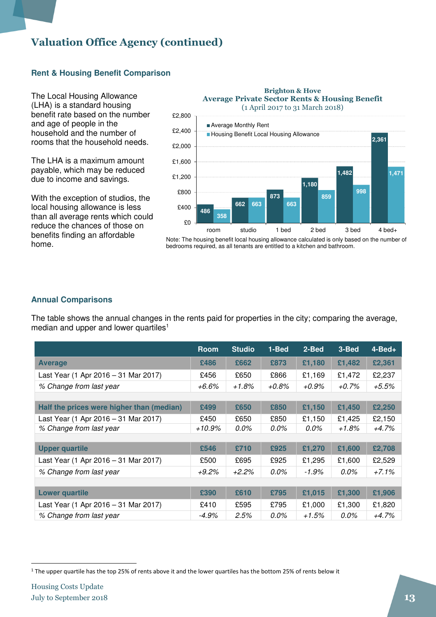### Valuation Office Agency (continued)

### **Rent & Housing Benefit Comparison**

The Local Housing Allowance (LHA) is a standard housing benefit rate based on the number and age of people in the household and the number of rooms that the household needs.

The LHA is a maximum amount payable, which may be reduced due to income and savings.

With the exception of studios, the local housing allowance is less than all average rents which could reduce the chances of those on benefits finding an affordable home.



Brighton & Hove

Note: The housing benefit local housing allowance calculated is only based on the number of bedrooms required, as all tenants are entitled to a kitchen and bathroom.

### **Annual Comparisons**

The table shows the annual changes in the rents paid for properties in the city; comparing the average, median and upper and lower quartiles<sup>1</sup>

|                                           | <b>Room</b> | <b>Studio</b> | 1-Bed   | 2-Bed   | 3-Bed    | $4 - Bed +$ |
|-------------------------------------------|-------------|---------------|---------|---------|----------|-------------|
| <b>Average</b>                            | £486        | £662          | £873    | £1,180  | £1,482   | £2,361      |
| Last Year (1 Apr 2016 - 31 Mar 2017)      | £456        | £650          | £866    | £1,169  | £1,472   | £2,237      |
| % Change from last year                   | +6.6%       | $+1.8%$       | $+0.8%$ | +0.9%   | $+0.7\%$ | $+5.5%$     |
|                                           |             |               |         |         |          |             |
| Half the prices were higher than (median) | £499        | £650          | £850    | £1,150  | £1,450   | £2,250      |
| Last Year (1 Apr 2016 - 31 Mar 2017)      | £450        | £650          | £850    | £1,150  | £1,425   | £2,150      |
| % Change from last year                   | $+10.9\%$   | 0.0%          | 0.0%    | $0.0\%$ | +1.8%    | $+4.7%$     |
|                                           |             |               |         |         |          |             |
| <b>Upper quartile</b>                     | £546        | £710          | £925    | £1,270  | £1,600   | £2,708      |
| Last Year (1 Apr 2016 - 31 Mar 2017)      | £500        | £695          | £925    | £1,295  | £1,600   | £2,529      |
| % Change from last year                   | $+9.2%$     | $+2.2%$       | $0.0\%$ | -1.9%   | $0.0\%$  | $+7.1%$     |
|                                           |             |               |         |         |          |             |
| <b>Lower quartile</b>                     | £390        | £610          | £795    | £1,015  | £1,300   | £1,906      |
| Last Year (1 Apr 2016 - 31 Mar 2017)      | £410        | £595          | £795    | £1,000  | £1,300   | £1,820      |
| % Change from last year                   | $-4.9\%$    | 2.5%          | 0.0%    | +1.5%   | 0.0%     | +4.7%       |

 $\overline{\phantom{a}}$ 

<sup>&</sup>lt;sup>1</sup> The upper quartile has the top 25% of rents above it and the lower quartiles has the bottom 25% of rents below it